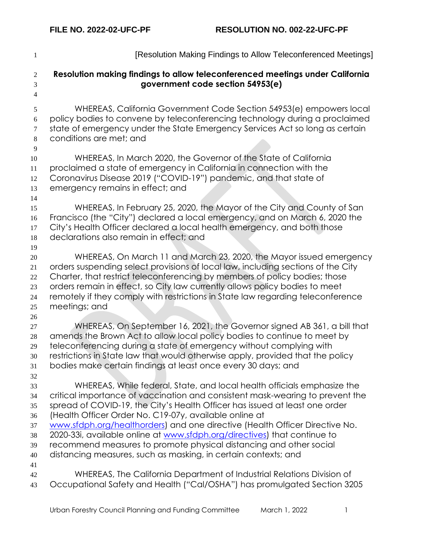| $\mathbf{1}$                                       | [Resolution Making Findings to Allow Teleconferenced Meetings]                                                                                                                                                                                                                                                                                                                                                                                                                                                                                                                                       |
|----------------------------------------------------|------------------------------------------------------------------------------------------------------------------------------------------------------------------------------------------------------------------------------------------------------------------------------------------------------------------------------------------------------------------------------------------------------------------------------------------------------------------------------------------------------------------------------------------------------------------------------------------------------|
| $\mathfrak{2}$<br>3<br>$\overline{4}$              | Resolution making findings to allow teleconferenced meetings under California<br>government code section 54953(e)                                                                                                                                                                                                                                                                                                                                                                                                                                                                                    |
| 5<br>6<br>$\tau$<br>$8\,$                          | WHEREAS, California Government Code Section 54953(e) empowers local<br>policy bodies to convene by teleconferencing technology during a proclaimed<br>state of emergency under the State Emergency Services Act so long as certain<br>conditions are met; and                                                                                                                                                                                                                                                                                                                                        |
| 9<br>10<br>11<br>12<br>13                          | WHEREAS, In March 2020, the Governor of the State of California<br>proclaimed a state of emergency in California in connection with the<br>Coronavirus Disease 2019 ("COVID-19") pandemic, and that state of<br>emergency remains in effect; and                                                                                                                                                                                                                                                                                                                                                     |
| 14<br>15<br>16<br>17<br>18                         | WHEREAS, In February 25, 2020, the Mayor of the City and County of San<br>Francisco (the "City") declared a local emergency, and on March 6, 2020 the<br>City's Health Officer declared a local health emergency, and both those<br>declarations also remain in effect; and                                                                                                                                                                                                                                                                                                                          |
| 19<br>20<br>21<br>22<br>23<br>24<br>25             | WHEREAS, On March 11 and March 23, 2020, the Mayor issued emergency<br>orders suspending select provisions of local law, including sections of the City<br>Charter, that restrict teleconferencing by members of policy bodies; those<br>orders remain in effect, so City law currently allows policy bodies to meet<br>remotely if they comply with restrictions in State law regarding teleconference<br>meetings; and                                                                                                                                                                             |
| 26<br>27<br>$28\,$<br>29<br>30<br>31               | WHEREAS, On September 16, 2021, the Governor signed AB 361, a bill that<br>amends the Brown Act to allow local policy bodies to continue to meet by<br>teleconferencing during a state of emergency without complying with<br>restrictions in State law that would otherwise apply, provided that the policy<br>bodies make certain findings at least once every 30 days; and                                                                                                                                                                                                                        |
| 32<br>33<br>34<br>35<br>36<br>37<br>38<br>39<br>40 | WHEREAS, While federal, State, and local health officials emphasize the<br>critical importance of vaccination and consistent mask-wearing to prevent the<br>spread of COVID-19, the City's Health Officer has issued at least one order<br>(Health Officer Order No. C19-07y, available online at<br>www.sfdph.org/healthorders) and one directive (Health Officer Directive No.<br>2020-33i, available online at www.sfdph.org/directives) that continue to<br>recommend measures to promote physical distancing and other social<br>distancing measures, such as masking, in certain contexts; and |
| 41<br>42<br>43                                     | WHEREAS, The California Department of Industrial Relations Division of<br>Occupational Safety and Health ("Cal/OSHA") has promulgated Section 3205                                                                                                                                                                                                                                                                                                                                                                                                                                                   |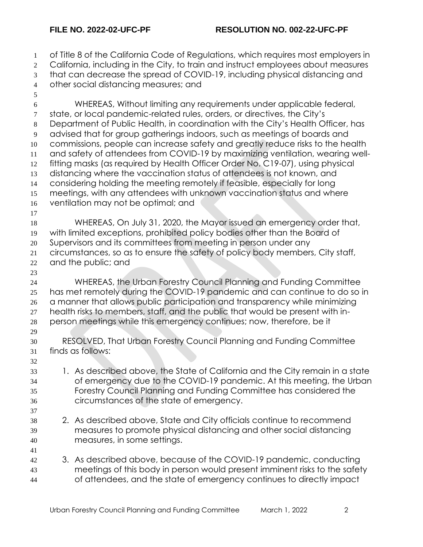of Title 8 of the California Code of Regulations, which requires most employers in 2 California, including in the City, to train and instruct employees about measures that can decrease the spread of COVID-19, including physical distancing and other social distancing measures; and WHEREAS, Without limiting any requirements under applicable federal, state, or local pandemic-related rules, orders, or directives, the City's Department of Public Health, in coordination with the City's Health Officer, has advised that for group gatherings indoors, such as meetings of boards and commissions, people can increase safety and greatly reduce risks to the health and safety of attendees from COVID-19 by maximizing ventilation, wearing well- fitting masks (as required by Health Officer Order No. C19-07), using physical distancing where the vaccination status of attendees is not known, and considering holding the meeting remotely if feasible, especially for long meetings, with any attendees with unknown vaccination status and where ventilation may not be optimal; and WHEREAS, On July 31, 2020, the Mayor issued an emergency order that, with limited exceptions, prohibited policy bodies other than the Board of Supervisors and its committees from meeting in person under any circumstances, so as to ensure the safety of policy body members, City staff, and the public; and WHEREAS, the Urban Forestry Council Planning and Funding Committee has met remotely during the COVID-19 pandemic and can continue to do so in a manner that allows public participation and transparency while minimizing health risks to members, staff, and the public that would be present with in- person meetings while this emergency continues; now, therefore, be it RESOLVED, That Urban Forestry Council Planning and Funding Committee finds as follows: 1. As described above, the State of California and the City remain in a state of emergency due to the COVID-19 pandemic. At this meeting, the Urban Forestry Council Planning and Funding Committee has considered the circumstances of the state of emergency. 2. As described above, State and City officials continue to recommend measures to promote physical distancing and other social distancing measures, in some settings. 3. As described above, because of the COVID-19 pandemic, conducting meetings of this body in person would present imminent risks to the safety of attendees, and the state of emergency continues to directly impact